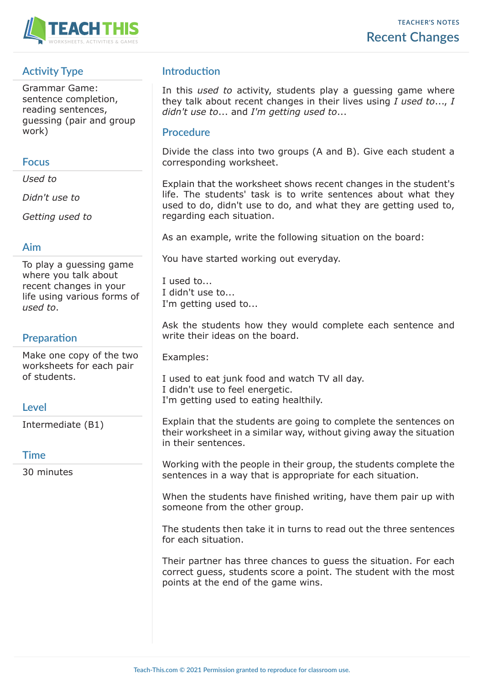

# **Activity Type**

Grammar Game: sentence completion, reading sentences, guessing (pair and group work)

### **Focus**

*Used to*

*Didn't use to*

*Getting used to*

# **Aim**

To play a guessing game where you talk about recent changes in your life using various forms of *used to*.

# **Preparation**

Make one copy of the two worksheets for each pair of students.

# **Level**

Intermediate (B1)

# **Time**

30 minutes

# **Introduction**

In this *used to* activity, students play a guessing game where they talk about recent changes in their lives using *I used to*..., *I didn't use to*... and *I'm getting used to*...

### **Procedure**

Divide the class into two groups (A and B). Give each student a corresponding worksheet.

Explain that the worksheet shows recent changes in the student's life. The students' task is to write sentences about what they used to do, didn't use to do, and what they are getting used to, regarding each situation.

As an example, write the following situation on the board:

You have started working out everyday.

I used to... I didn't use to... I'm getting used to...

Ask the students how they would complete each sentence and write their ideas on the board.

Examples:

I used to eat junk food and watch TV all day. I didn't use to feel energetic. I'm getting used to eating healthily.

Explain that the students are going to complete the sentences on their worksheet in a similar way, without giving away the situation in their sentences.

Working with the people in their group, the students complete the sentences in a way that is appropriate for each situation.

When the students have finished writing, have them pair up with someone from the other group.

The students then take it in turns to read out the three sentences for each situation.

Their partner has three chances to guess the situation. For each correct guess, students score a point. The student with the most points at the end of the game wins.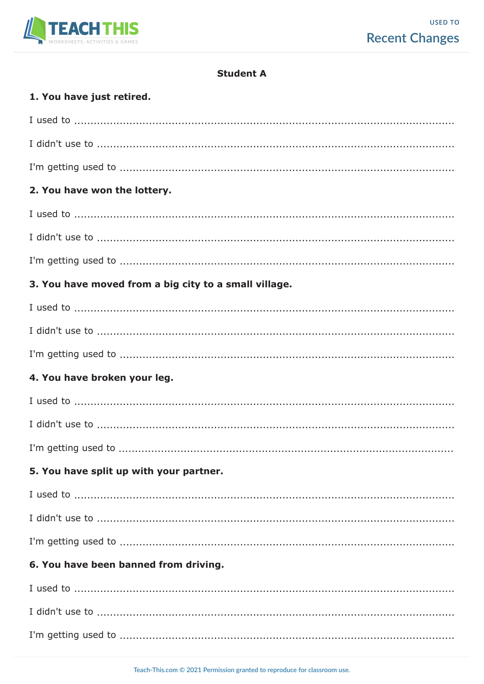

### **Student A**

# 1. You have just retired.

| 2. You have won the lottery.                                                                                                                       |
|----------------------------------------------------------------------------------------------------------------------------------------------------|
| $I$ used to $\ldots$ $\ldots$ $\ldots$ $\ldots$ $\ldots$ $\ldots$ $\ldots$ $\ldots$ $\ldots$ $\ldots$ $\ldots$ $\ldots$ $\ldots$ $\ldots$ $\ldots$ |
|                                                                                                                                                    |
|                                                                                                                                                    |
| 3. You have moved from a big city to a small village.                                                                                              |
|                                                                                                                                                    |
|                                                                                                                                                    |
|                                                                                                                                                    |
| 4. You have broken your leg.                                                                                                                       |
|                                                                                                                                                    |
|                                                                                                                                                    |
|                                                                                                                                                    |
| 5. You have split up with your partner.                                                                                                            |
|                                                                                                                                                    |
|                                                                                                                                                    |
|                                                                                                                                                    |
| 6. You have been banned from driving.                                                                                                              |
|                                                                                                                                                    |
|                                                                                                                                                    |
|                                                                                                                                                    |